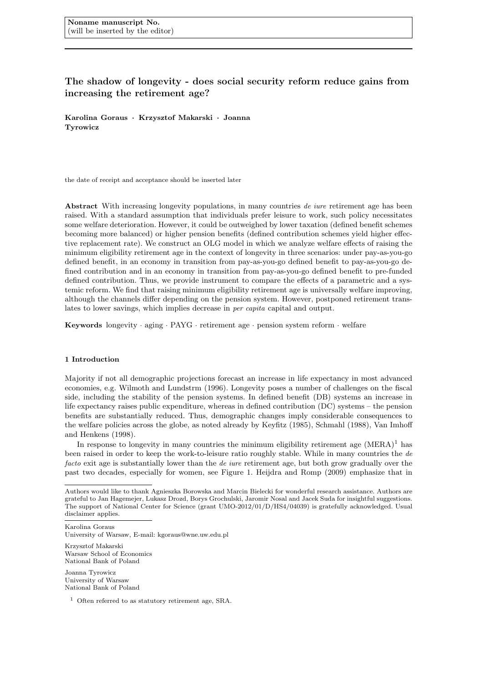# The shadow of longevity - does social security reform reduce gains from increasing the retirement age?

Karolina Goraus · Krzysztof Makarski · Joanna Tyrowicz

the date of receipt and acceptance should be inserted later

Abstract With increasing longevity populations, in many countries de iure retirement age has been raised. With a standard assumption that individuals prefer leisure to work, such policy necessitates some welfare deterioration. However, it could be outweighed by lower taxation (defined benefit schemes becoming more balanced) or higher pension benefits (defined contribution schemes yield higher effective replacement rate). We construct an OLG model in which we analyze welfare effects of raising the minimum eligibility retirement age in the context of longevity in three scenarios: under pay-as-you-go defined benefit, in an economy in transition from pay-as-you-go defined benefit to pay-as-you-go defined contribution and in an economy in transition from pay-as-you-go defined benefit to pre-funded defined contribution. Thus, we provide instrument to compare the effects of a parametric and a systemic reform. We find that raising minimum eligibility retirement age is universally welfare improving, although the channels differ depending on the pension system. However, postponed retirement translates to lower savings, which implies decrease in per capita capital and output.

Keywords longevity · aging · PAYG · retirement age · pension system reform · welfare

#### 1 Introduction

Majority if not all demographic projections forecast an increase in life expectancy in most advanced economies, e.g. Wilmoth and Lundstrm (1996). Longevity poses a number of challenges on the fiscal side, including the stability of the pension systems. In defined benefit (DB) systems an increase in life expectancy raises public expenditure, whereas in defined contribution (DC) systems – the pension benefits are substantially reduced. Thus, demographic changes imply considerable consequences to the welfare policies across the globe, as noted already by Keyfitz (1985), Schmahl (1988), Van Imhoff and Henkens (1998).

In response to longevity in many countries the minimum eligibility retirement age  $(MERA)^1$  has been raised in order to keep the work-to-leisure ratio roughly stable. While in many countries the de facto exit age is substantially lower than the *de iure* retirement age, but both grow gradually over the past two decades, especially for women, see Figure 1. Heijdra and Romp (2009) emphasize that in

Karolina Goraus

University of Warsaw, E-mail: kgoraus@wne.uw.edu.pl

Krzysztof Makarski Warsaw School of Economics National Bank of Poland

Joanna Tyrowicz University of Warsaw National Bank of Poland

 $^1\,$  Often referred to as statutory retirement age, SRA.

Authors would like to thank Agnieszka Borowska and Marcin Bielecki for wonderful research assistance. Authors are grateful to Jan Hagemejer, Lukasz Drozd, Borys Grochulski, Jaromir Nosal and Jacek Suda for insightful suggestions. The support of National Center for Science (grant UMO-2012/01/D/HS4/04039) is gratefully acknowledged. Usual disclaimer applies.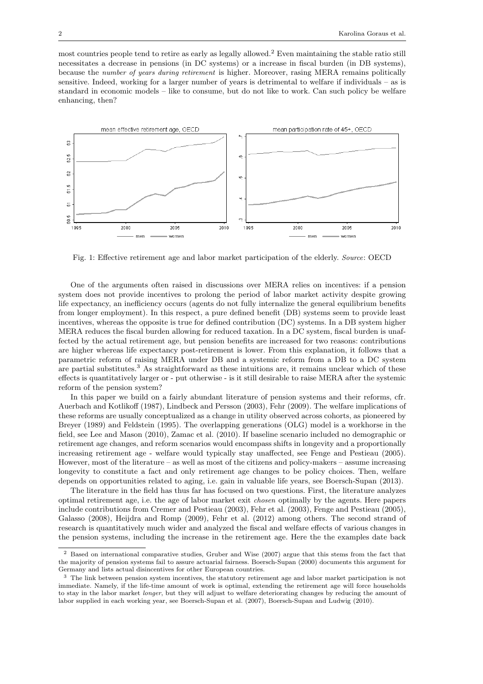most countries people tend to retire as early as legally allowed.<sup>2</sup> Even maintaining the stable ratio still necessitates a decrease in pensions (in DC systems) or a increase in fiscal burden (in DB systems), because the number of years during retirement is higher. Moreover, rasing MERA remains politically sensitive. Indeed, working for a larger number of years is detrimental to welfare if individuals – as is standard in economic models – like to consume, but do not like to work. Can such policy be welfare enhancing, then?



Fig. 1: Effective retirement age and labor market participation of the elderly. Source: OECD

One of the arguments often raised in discussions over MERA relies on incentives: if a pension system does not provide incentives to prolong the period of labor market activity despite growing life expectancy, an inefficiency occurs (agents do not fully internalize the general equilibrium benefits from longer employment). In this respect, a pure defined benefit (DB) systems seem to provide least incentives, whereas the opposite is true for defined contribution (DC) systems. In a DB system higher MERA reduces the fiscal burden allowing for reduced taxation. In a DC system, fiscal burden is unaffected by the actual retirement age, but pension benefits are increased for two reasons: contributions are higher whereas life expectancy post-retirement is lower. From this explanation, it follows that a parametric reform of raising MERA under DB and a systemic reform from a DB to a DC system are partial substitutes.<sup>3</sup> As straightforward as these intuitions are, it remains unclear which of these effects is quantitatively larger or - put otherwise - is it still desirable to raise MERA after the systemic reform of the pension system?

In this paper we build on a fairly abundant literature of pension systems and their reforms, cfr. Auerbach and Kotlikoff (1987), Lindbeck and Persson (2003), Fehr (2009). The welfare implications of these reforms are usually conceptualized as a change in utility observed across cohorts, as pioneered by Breyer (1989) and Feldstein (1995). The overlapping generations (OLG) model is a workhorse in the field, see Lee and Mason (2010), Zamac et al. (2010). If baseline scenario included no demographic or retirement age changes, and reform scenarios would encompass shifts in longevity and a proportionally increasing retirement age - welfare would typically stay unaffected, see Fenge and Pestieau (2005). However, most of the literature – as well as most of the citizens and policy-makers – assume increasing longevity to constitute a fact and only retirement age changes to be policy choices. Then, welfare depends on opportunities related to aging, i.e. gain in valuable life years, see Boersch-Supan (2013).

The literature in the field has thus far has focused on two questions. First, the literature analyzes optimal retirement age, i.e. the age of labor market exit chosen optimally by the agents. Here papers include contributions from Cremer and Pestieau (2003), Fehr et al. (2003), Fenge and Pestieau (2005), Galasso (2008), Heijdra and Romp (2009), Fehr et al. (2012) among others. The second strand of research is quantitatively much wider and analyzed the fiscal and welfare effects of various changes in the pension systems, including the increase in the retirement age. Here the the examples date back

<sup>2</sup> Based on international comparative studies, Gruber and Wise (2007) argue that this stems from the fact that the majority of pension systems fail to assure actuarial fairness. Boersch-Supan (2000) documents this argument for Germany and lists actual disincentives for other European countries.

<sup>3</sup> The link between pension system incentives, the statutory retirement age and labor market participation is not immediate. Namely, if the life-time amount of work is optimal, extending the retirement age will force households to stay in the labor market longer, but they will adjust to welfare deteriorating changes by reducing the amount of labor supplied in each working year, see Boersch-Supan et al. (2007), Boersch-Supan and Ludwig (2010).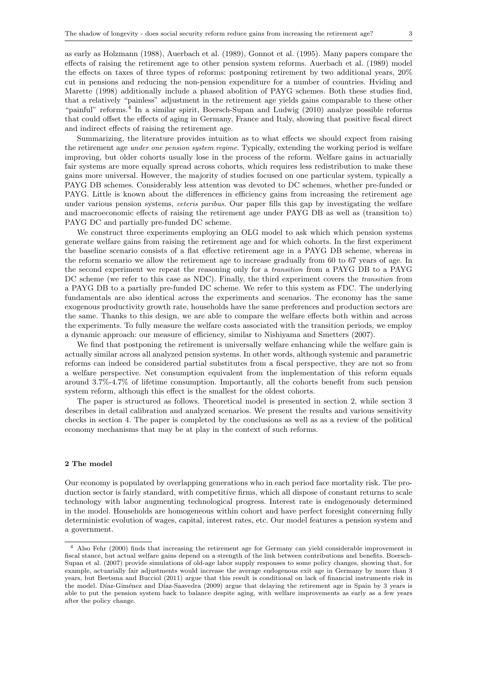as early as Holzmann (1988), Auerbach et al. (1989), Gonnot et al. (1995). Many papers compare the effects of raising the retirement age to other pension system reforms. Auerbach et al. (1989) model the effects on taxes of three types of reforms: postponing retirement by two additional years, 20% cut in pensions and reducing the non-pension expenditure for a number of countries. Hviding and Marette (1998) additionally include a phased abolition of PAYG schemes. Both these studies find, that a relatively "painless" adjustment in the retirement age yields gains comparable to these other "painful" reforms.<sup>4</sup> In a similar spirit, Boersch-Supan and Ludwig (2010) analyze possible reforms that could offset the effects of aging in Germany, France and Italy, showing that positive fiscal direct and indirect effects of raising the retirement age.

Summarizing, the literature provides intuition as to what effects we should expect from raising the retirement age under one pension system regime. Typically, extending the working period is welfare improving, but older cohorts usually lose in the process of the reform. Welfare gains in actuarially fair systems are more equally spread across cohorts, which requires less redistribution to make these gains more universal. However, the majority of studies focused on one particular system, typically a PAYG DB schemes. Considerably less attention was devoted to DC schemes, whether pre-funded or PAYG. Little is known about the differences in efficiency gains from increasing the retirement age under various pension systems, *ceteris paribus*. Our paper fills this gap by investigating the welfare and macroeconomic effects of raising the retirement age under PAYG DB as well as (transition to) PAYG DC and partially pre-funded DC scheme.

We construct three experiments employing an OLG model to ask which which pension systems generate welfare gains from raising the retirement age and for which cohorts. In the first experiment the baseline scenario consists of a flat effective retirement age in a PAYG DB scheme, whereas in the reform scenario we allow the retirement age to increase gradually from 60 to 67 years of age. In the second experiment we repeat the reasoning only for a transition from a PAYG DB to a PAYG DC scheme (we refer to this case as NDC). Finally, the third experiment covers the *transition* from a PAYG DB to a partially pre-funded DC scheme. We refer to this system as FDC. The underlying fundamentals are also identical across the experiments and scenarios. The economy has the same exogenous productivity growth rate, households have the same preferences and production sectors are the same. Thanks to this design, we are able to compare the welfare effects both within and across the experiments. To fully measure the welfare costs associated with the transition periods, we employ a dynamic approach: our measure of efficiency, similar to Nishiyama and Smetters (2007).

We find that postponing the retirement is universally welfare enhancing while the welfare gain is actually similar across all analyzed pension systems. In other words, although systemic and parametric reforms can indeed be considered partial substitutes from a fiscal perspective, they are not so from a welfare perspective. Net consumption equivalent from the implementation of this reform equals around 3.7%-4.7% of lifetime consumption. Importantly, all the cohorts benefit from such pension system reform, although this effect is the smallest for the oldest cohorts.

The paper is structured as follows. Theoretical model is presented in section 2, while section 3 describes in detail calibration and analyzed scenarios. We present the results and various sensitivity checks in section 4. The paper is completed by the conclusions as well as as a review of the political economy mechanisms that may be at play in the context of such reforms.

#### 2 The model

Our economy is populated by overlapping generations who in each period face mortality risk. The production sector is fairly standard, with competitive firms, which all dispose of constant returns to scale technology with labor augmenting technological progress. Interest rate is endogenously determined in the model. Households are homogeneous within cohort and have perfect foresight concerning fully deterministic evolution of wages, capital, interest rates, etc. Our model features a pension system and a government.

<sup>4</sup> Also Fehr (2000) finds that increasing the retirement age for Germany can yield considerable improvement in fiscal stance, but actual welfare gains depend on a strength of the link between contributions and benefits. Boersch-Supan et al. (2007) provide simulations of old-age labor supply responses to some policy changes, showing that, for example, actuarially fair adjustments would increase the average endogenous exit age in Germany by more than 3 years, but Beetsma and Bucciol (2011) argue that this result is conditional on lack of financial instruments risk in the model. Díaz-Giménez and Díaz-Saavedra (2009) argue that delaying the retirement age in Spain by 3 years is able to put the pension system back to balance despite aging, with welfare improvements as early as a few years after the policy change.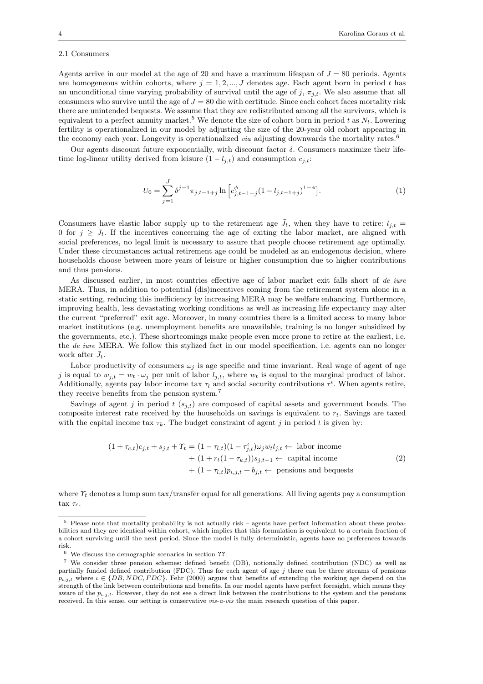#### 2.1 Consumers

Agents arrive in our model at the age of 20 and have a maximum lifespan of  $J = 80$  periods. Agents are homogeneous within cohorts, where  $j = 1, 2, ..., J$  denotes age. Each agent born in period t has an unconditional time varying probability of survival until the age of j,  $\pi_{j,t}$ . We also assume that all consumers who survive until the age of  $J = 80$  die with certitude. Since each cohort faces mortality risk there are unintended bequests. We assume that they are redistributed among all the survivors, which is equivalent to a perfect annuity market.<sup>5</sup> We denote the size of cohort born in period t as  $N_t$ . Lowering fertility is operationalized in our model by adjusting the size of the 20-year old cohort appearing in the economy each year. Longevity is operationalized *via* adjusting downwards the mortality rates.<sup>6</sup>

Our agents discount future exponentially, with discount factor  $\delta$ . Consumers maximize their lifetime log-linear utility derived from leisure  $(1 - l_{j,t})$  and consumption  $c_{j,t}$ :

$$
U_0 = \sum_{j=1}^{J} \delta^{j-1} \pi_{j,t-1+j} \ln \left[ c_{j,t-1+j}^{\phi} (1 - l_{j,t-1+j})^{1-\phi} \right].
$$
 (1)

Consumers have elastic labor supply up to the retirement age  $\bar{J}_t$ , when they have to retire:  $l_{i,t}$  = 0 for  $j \geq \bar{J}_t$ . If the incentives concerning the age of exiting the labor market, are aligned with social preferences, no legal limit is necessary to assure that people choose retirement age optimally. Under these circumstances actual retirement age could be modeled as an endogenous decision, where households choose between more years of leisure or higher consumption due to higher contributions and thus pensions.

As discussed earlier, in most countries effective age of labor market exit falls short of de iure MERA. Thus, in addition to potential (dis)incentives coming from the retirement system alone in a static setting, reducing this inefficiency by increasing MERA may be welfare enhancing. Furthermore, improving health, less devastating working conditions as well as increasing life expectancy may alter the current "preferred" exit age. Moreover, in many countries there is a limited access to many labor market institutions (e.g. unemployment benefits are unavailable, training is no longer subsidized by the governments, etc.). These shortcomings make people even more prone to retire at the earliest, i.e. the de iure MERA. We follow this stylized fact in our model specification, i.e. agents can no longer work after  $\bar{J}_t$ .

Labor productivity of consumers  $\omega_i$  is age specific and time invariant. Real wage of agent of age j is equal to  $w_{j,t} = w_t \cdot \omega_j$  per unit of labor  $l_{j,t}$ , where  $w_t$  is equal to the marginal product of labor. Additionally, agents pay labor income tax  $\tau_l$  and social security contributions  $\tau^{\iota}$ . When agents retire, they receive benefits from the pension system.<sup>7</sup>

Savings of agent j in period  $t$  ( $s_{j,t}$ ) are composed of capital assets and government bonds. The composite interest rate received by the households on savings is equivalent to  $r_t$ . Savings are taxed with the capital income tax  $\tau_k$ . The budget constraint of agent j in period t is given by:

$$
(1 + \tau_{c,t})c_{j,t} + s_{j,t} + \Upsilon_t = (1 - \tau_{l,t})(1 - \tau_{j,t}^t)\omega_j w_t l_{j,t} \leftarrow \text{ labor income} + (1 + r_t(1 - \tau_{k,t}))s_{j,t-1} \leftarrow \text{capital income} + (1 - \tau_{l,t})p_{t,j,t} + b_{j,t} \leftarrow \text{pensions and bequests}
$$
\n
$$
(2)
$$

where  $\Upsilon_t$  denotes a lump sum tax/transfer equal for all generations. All living agents pay a consumption tax  $\tau_c$ .

<sup>5</sup> Please note that mortality probability is not actually risk – agents have perfect information about these probabilities and they are identical within cohort, which implies that this formulation is equivalent to a certain fraction of a cohort surviving until the next period. Since the model is fully deterministic, agents have no preferences towards risk.

<sup>6</sup> We discuss the demographic scenarios in section ??.

<sup>7</sup> We consider three pension schemes: defined benefit (DB), notionally defined contribution (NDC) as well as partially funded defined contribution (FDC). Thus for each agent of age  $j$  there can be three streams of pensions  $p_{i,j,t}$  where  $\iota \in \{DB, NDC, FDC\}$ . Fehr (2000) argues that benefits of extending the working age depend on the strength of the link between contributions and benefits. In our model agents have perfect foresight, which means they aware of the  $p_{i,j,t}$ . However, they do not see a direct link between the contributions to the system and the pensions received. In this sense, our setting is conservative vis-a-vis the main research question of this paper.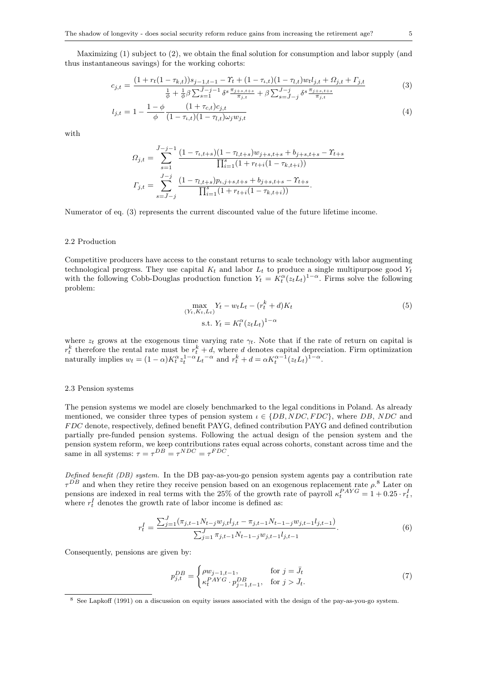Maximizing (1) subject to (2), we obtain the final solution for consumption and labor supply (and thus instantaneous savings) for the working cohorts:

$$
c_{j,t} = \frac{(1 + r_t(1 - \tau_{k,t}))s_{j-1,t-1} - \Upsilon_t + (1 - \tau_{k,t})(1 - \tau_{l,t})wt_{j,t} + \Omega_{j,t} + \Gamma_{j,t}}{\frac{1}{\phi} + \frac{1}{\phi}\beta \sum_{s=1}^{\bar{J}-j-1} \delta^s \frac{\pi_{j+s,t+s}}{\pi_{j,t}} + \beta \sum_{s=\bar{J}-j}^{\bar{J}-j} \delta^s \frac{\pi_{j+s,t+s}}{\pi_{j,t}}}
$$
(3)

$$
l_{j,t} = 1 - \frac{1 - \phi}{\phi} \frac{(1 + \tau_{c,t})c_{j,t}}{(1 - \tau_{l,t})(1 - \tau_{l,t})\omega_j w_{j,t}}
$$
(4)

with

$$
\Omega_{j,t} = \sum_{s=1}^{\bar{J}-j-1} \frac{(1-\tau_{t,t+s})(1-\tau_{t,t+s})w_{j+s,t+s} + b_{j+s,t+s} - \Upsilon_{t+s}}{\prod_{i=1}^s (1+r_{t+i}(1-\tau_{k,t+i}))}
$$

$$
\Gamma_{j,t} = \sum_{s=\bar{J}-j}^{J-j} \frac{(1-\tau_{l,t+s})p_{t,j+s,t+s} + b_{j+s,t+s} - \Upsilon_{t+s}}{\prod_{i=1}^s (1+r_{t+i}(1-\tau_{k,t+i}))}.
$$

Numerator of eq. (3) represents the current discounted value of the future lifetime income.

#### 2.2 Production

Competitive producers have access to the constant returns to scale technology with labor augmenting technological progress. They use capital  $K_t$  and labor  $L_t$  to produce a single multipurpose good  $Y_t$ with the following Cobb-Douglas production function  $Y_t = K_t^{\alpha} (z_t L_t)^{1-\alpha}$ . Firms solve the following problem:

$$
\max_{(Y_t, K_t, L_t)} Y_t - w_t L_t - (r_t^k + d) K_t
$$
  
s.t.  $Y_t = K_t^{\alpha} (z_t L_t)^{1-\alpha}$  (5)

where  $z_t$  grows at the exogenous time varying rate  $\gamma_t$ . Note that if the rate of return on capital is  $r_t^k$  therefore the rental rate must be  $r_t^k + d$ , where d denotes capital depreciation. Firm optimization naturally implies  $w_t = (1 - \alpha)K_t^{\alpha} z_t^{1 - \alpha} L_t^{-\alpha}$  and  $r_t^k + d = \alpha K_t^{\alpha - 1} (z_t L_t)^{1 - \alpha}$ .

#### 2.3 Pension systems

The pension systems we model are closely benchmarked to the legal conditions in Poland. As already mentioned, we consider three types of pension system  $\iota \in \{DB, NDC, FDC\}$ , where DB, NDC and F DC denote, respectively, defined benefit PAYG, defined contribution PAYG and defined contribution partially pre-funded pension systems. Following the actual design of the pension system and the pension system reform, we keep contributions rates equal across cohorts, constant across time and the same in all systems:  $\tau = \tau^{DB} = \tau^{NDC} = \tau^{FDC}$ .

Defined benefit (DB) system. In the DB pay-as-you-go pension system agents pay a contribution rate  $\tau^{DB}$  and when they retire they receive pension based on an exogenous replacement rate  $\rho$ .<sup>8</sup> Later on pensions are indexed in real terms with the 25% of the growth rate of payroll  $\kappa_t^{PAYG} = 1 + 0.25 \cdot r_t^I$ , where  $r_t^I$  denotes the growth rate of labor income is defined as:

$$
r_t^I = \frac{\sum_{j=1}^J (\pi_{j,t-1} N_{t-j} w_{j,t} l_{j,t} - \pi_{j,t-1} N_{t-1-j} w_{j,t-1} l_{j,t-1})}{\sum_{j=1}^J \pi_{j,t-1} N_{t-1-j} w_{j,t-1} l_{j,t-1}}.
$$
(6)

Consequently, pensions are given by:

$$
p_{j,t}^{DB} = \begin{cases} \rho w_{j-1,t-1}, & \text{for } j = \bar{J}_t \\ \kappa_t^{PAYG} \cdot p_{j-1,t-1}^{DB}, & \text{for } j > \bar{J}_t. \end{cases}
$$
(7)

<sup>8</sup> See Lapkoff (1991) on a discussion on equity issues associated with the design of the pay-as-you-go system.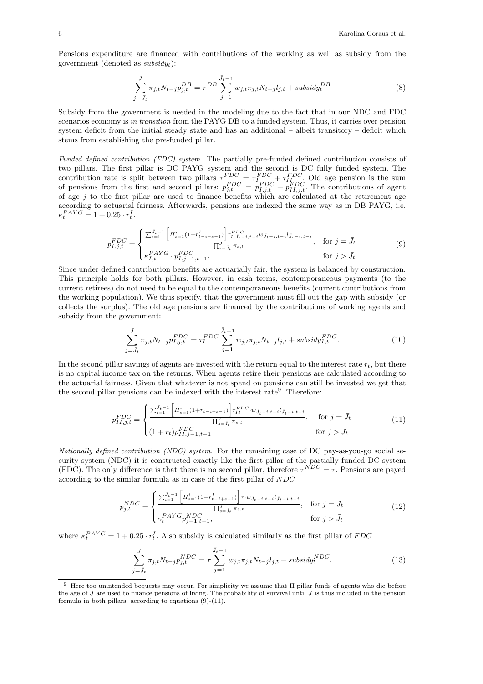Pensions expenditure are financed with contributions of the working as well as subsidy from the government (denoted as  $subsidyt$ ):

$$
\sum_{j=\bar{J}_t}^{J} \pi_{j,t} N_{t-j} p_{j,t}^{DB} = \tau^{DB} \sum_{j=1}^{\bar{J}_t - 1} w_{j,t} \pi_{j,t} N_{t-j} l_{j,t} + \text{subsidy}_t^{DB}
$$
\n(8)

Subsidy from the government is needed in the modeling due to the fact that in our NDC and FDC scenarios economy is in transition from the PAYG DB to a funded system. Thus, it carries over pension system deficit from the initial steady state and has an additional – albeit transitory – deficit which stems from establishing the pre-funded pillar.

Funded defined contribution (FDC) system. The partially pre-funded defined contribution consists of two pillars. The first pillar is DC PAYG system and the second is DC fully funded system. The contribution rate is split between two pillars  $\tau_{T\to\Omega}^{FDC} = \tau_{I\to\Omega}^{FDC} + \tau_{I\to\Omega}^{FDC}$ . Old age pension is the sum of pensions from the first and second pillars:  $p_{j,t}^{FDC} = p_{I,j,t}^{FDC} + p_{II,j,t}^{FDC}$ . The contributions of agent of age  $j$  to the first pillar are used to finance benefits which are calculated at the retirement age according to actuarial fairness. Afterwards, pensions are indexed the same way as in DB PAYG, i.e.  $\kappa_t^{PAYG} = 1 + 0.25 \cdot r_t^I.$ 

$$
p_{I,j,t}^{FDC} = \begin{cases} \frac{\sum_{i=1}^{\bar{J}_t - 1} \left[ \prod_{s=1}^i (1 + r_{t-i+s-1}^I) \right] \tau_{I,\bar{J}_t - i, t-i}^{FDC} w_{\bar{J}_t - i, t-i} \bar{J}_{t-i, t-i}}{\prod_{s=J_t}^J \pi_{s,t}}, & \text{for } j = \bar{J}_t\\ \kappa_{I,t}^{PAYG} \cdot p_{I,j-1,t-1}^{FDC}, & \text{for } j > \bar{J}_t \end{cases} \tag{9}
$$

Since under defined contribution benefits are actuarially fair, the system is balanced by construction. This principle holds for both pillars. However, in cash terms, contemporaneous payments (to the current retirees) do not need to be equal to the contemporaneous benefits (current contributions from the working population). We thus specify, that the government must fill out the gap with subsidy (or collects the surplus). The old age pensions are financed by the contributions of working agents and subsidy from the government:

$$
\sum_{j=\bar{J}_t}^{J} \pi_{j,t} N_{t-j} p_{I,j,t}^{FDC} = \tau_I^{FDC} \sum_{j=1}^{\bar{J}_t - 1} w_{j,t} \pi_{j,t} N_{t-j} l_{j,t} + \text{subsidy}_{I,t}^{FDC}.
$$
\n(10)

In the second pillar savings of agents are invested with the return equal to the interest rate  $r_t$ , but there is no capital income tax on the returns. When agents retire their pensions are calculated according to the actuarial fairness. Given that whatever is not spend on pensions can still be invested we get that the second pillar pensions can be indexed with the interest rate<sup>9</sup>. Therefore:

$$
p_{II,j,t}^{FDC} = \begin{cases} \frac{\sum_{i=1}^{\bar{J}_t-1} \left[ \prod_{s=1}^i (1+r_{t-i+s-1}) \right] \tau_{II}^{FDC} \cdot w_{\bar{J}_t-i,t-i} l_{\bar{J}_t-i,t-i}}{\prod_{s=J_t}^J \pi_{s,t}}, & \text{for } j = \bar{J}_t\\ (1+r_t) p_{II,j-1,t-1}^{FDC} & \text{for } j > \bar{J}_t \end{cases}
$$
(11)

Notionally defined contribution (NDC) system. For the remaining case of DC pay-as-you-go social security system (NDC) it is constructed exactly like the first pillar of the partially funded DC system (FDC). The only difference is that there is no second pillar, therefore  $\tau^{NDC} = \tau$ . Pensions are payed according to the similar formula as in case of the first pillar of NDC

$$
p_{j,t}^{NDC} = \begin{cases} \frac{\sum_{i=1}^{\bar{J}_t-1} \left[ \prod_{s=1}^i (1+r_{t-i+s-1}^I) \right] \tau \cdot w_{\bar{J}_t-i, t-i} l_{\bar{J}_t-i, t-i}}{\prod_{s=\bar{J}_t}^J \pi_{s,t}}, & \text{for } j = \bar{J}_t\\ \kappa_t^{PAYG} p_{j-1,t-1}^{NDC}, & \text{for } j > \bar{J}_t \end{cases} \tag{12}
$$

where  $\kappa_t^{PAYG} = 1 + 0.25 \cdot r_t^I$ . Also subsidy is calculated similarly as the first pillar of FDC

$$
\sum_{j=\bar{J}_t}^{J} \pi_{j,t} N_{t-j} p_{j,t}^{NDC} = \tau \sum_{j=1}^{\bar{J}_t - 1} w_{j,t} \pi_{j,t} N_{t-j} l_{j,t} + \text{subsidy}_t^{NDC}.
$$
\n(13)

<sup>&</sup>lt;sup>9</sup> Here too unintended bequests may occur. For simplicity we assume that II pillar funds of agents who die before the age of J are used to finance pensions of living. The probability of survival until J is thus included in the pension formula in both pillars, according to equations (9)-(11).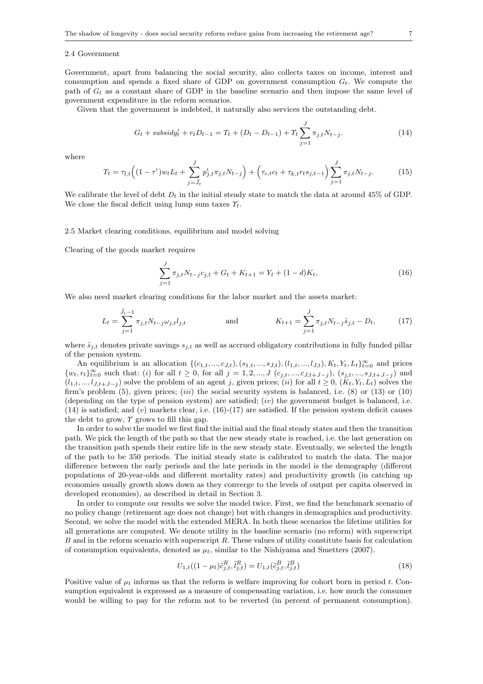#### 2.4 Government

Government, apart from balancing the social security, also collects taxes on income, interest and consumption and spends a fixed share of GDP on government consumption  $G_t$ . We compute the path of  $G_t$  as a constant share of GDP in the baseline scenario and then impose the same level of government expenditure in the reform scenarios.

Given that the government is indebted, it naturally also services the outstanding debt.

$$
G_t + \text{subsidy}_t^t + r_t D_{t-1} = T_t + (D_t - D_{t-1}) + \gamma_t \sum_{j=1}^J \pi_{j,t} N_{t-j}.
$$
\n(14)

where

$$
T_t = \tau_{l,t} \Big( (1 - \tau^t) w_t L_t + \sum_{j=\bar{J}_t}^{J} p_{j,t}^t \pi_{j,t} N_{t-j} \Big) + \Big( \tau_{c,t} c_t + \tau_{k,t} r_t s_{j,t-1} \Big) \sum_{j=1}^{J} \pi_{j,t} N_{t-j}.
$$
 (15)

We calibrate the level of debt  $D_t$  in the initial steady state to match the data at around 45% of GDP. We close the fiscal deficit using lump sum taxes  $\gamma_t$ .

## 2.5 Market clearing conditions, equilibrium and model solving

Clearing of the goods market requires

$$
\sum_{j=1}^{J} \pi_{j,t} N_{t-j} c_{j,t} + G_t + K_{t+1} = Y_t + (1-d)K_t,
$$
\n(16)

We also need market clearing conditions for the labor market and the assets market:

$$
L_t = \sum_{j=1}^{\bar{J}_t - 1} \pi_{j,t} N_{t-j} \omega_{j,t} l_{j,t} \quad \text{and} \quad K_{t+1} = \sum_{j=1}^J \pi_{j,t} N_{t-j} \hat{s}_{j,t} - D_t, \quad (17)
$$

where  $\hat{s}_{j,t}$  denotes private savings  $s_{j,t}$  as well as accrued obligatory contributions in fully funded pillar of the pension system.

An equilibrium is an allocation  $\{(c_{1,t},...,c_{J,t}), (s_{1,t},...,s_{J,t}), (l_{1,t},...,l_{J,t}), K_t, Y_t, L_t\}_{t=0}^{\infty}$  and prices  $\{w_t, r_t\}_{t=0}^{\infty}$  such that: (i) for all  $t \geq 0$ , for all  $j = 1, 2, ..., J$   $(c_{j,t}, ..., c_{J,t+J-j}), (s_{j,t}, ..., s_{J,t+J-j})$  and  $(l_1,t,\ldots,l_{J,t+J-j})$  solve the problem of an agent j, given prices; (ii) for all  $t \geq 0$ ,  $(K_t,Y_t,L_t)$  solves the firm's problem  $(5)$ , given prices;  $(iii)$  the social security system is balanced, i.e.  $(8)$  or  $(13)$  or  $(10)$ (depending on the type of pension system) are satisfied;  $(iv)$  the government budget is balanced, i.e.  $(14)$  is satisfied; and  $(v)$  markets clear, i.e.  $(16)-(17)$  are satisfied. If the pension system deficit causes the debt to grow,  $\gamma$  grows to fill this gap.

In order to solve the model we first find the initial and the final steady states and then the transition path. We pick the length of the path so that the new steady state is reached, i.e. the last generation on the transition path spends their entire life in the new steady state. Eventually, we selected the length of the path to be 350 periods. The initial steady state is calibrated to match the data. The major difference between the early periods and the late periods in the model is the demography (different populations of 20-year-olds and different mortality rates) and productivity growth (in catching up economies usually growth slows down as they converge to the levels of output per capita observed in developed economies), as described in detail in Section 3.

In order to compute our results we solve the model twice. First, we find the benchmark scenario of no policy change (retirement age does not change) but with changes in demographics and productivity. Second, we solve the model with the extended MERA. In both these scenarios the lifetime utilities for all generations are computed. We denote utility in the baseline scenario (no reform) with superscript B and in the reform scenario with superscript R. These values of utility constitute basis for calculation of consumption equivalents, denoted as  $\mu_t$ , similar to the Nishiyama and Smetters (2007).

$$
U_{1,t}((1 - \mu_t)\tilde{c}_{j,t}^R, \tilde{t}_{j,t}^R) = U_{1,t}(\tilde{c}_{j,t}^B, \tilde{t}_{j,t}^B)
$$
\n(18)

Positive value of  $\mu_t$  informs us that the reform is welfare improving for cohort born in period t. Consumption equivalent is expressed as a measure of compensating variation, i.e. how much the consumer would be willing to pay for the reform not to be reverted (in percent of permanent consumption).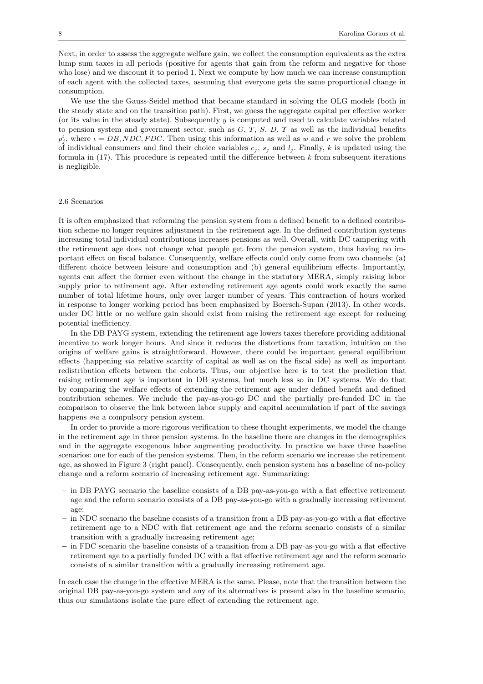Next, in order to assess the aggregate welfare gain, we collect the consumption equivalents as the extra lump sum taxes in all periods (positive for agents that gain from the reform and negative for those who lose) and we discount it to period 1. Next we compute by how much we can increase consumption of each agent with the collected taxes, assuming that everyone gets the same proportional change in consumption.

We use the the Gauss-Seidel method that became standard in solving the OLG models (both in the steady state and on the transition path). First, we guess the aggregate capital per effective worker (or its value in the steady state). Subsequently y is computed and used to calculate variables related to pension system and government sector, such as  $G, T, S, D, \gamma$  as well as the individual benefits  $p_j^t$ , where  $i = DB, NDC, FDC$ . Then using this information as well as w and r we solve the problem of individual consumers and find their choice variables  $c_j$ ,  $s_j$  and  $l_j$ . Finally, k is updated using the formula in  $(17)$ . This procedure is repeated until the difference between k from subsequent iterations is negligible.

# 2.6 Scenarios

It is often emphasized that reforming the pension system from a defined benefit to a defined contribution scheme no longer requires adjustment in the retirement age. In the defined contribution systems increasing total individual contributions increases pensions as well. Overall, with DC tampering with the retirement age does not change what people get from the pension system, thus having no important effect on fiscal balance. Consequently, welfare effects could only come from two channels: (a) different choice between leisure and consumption and (b) general equilibrium effects. Importantly, agents can affect the former even without the change in the statutory MERA, simply raising labor supply prior to retirement age. After extending retirement age agents could work exactly the same number of total lifetime hours, only over larger number of years. This contraction of hours worked in response to longer working period has been emphasized by Boersch-Supan (2013). In other words, under DC little or no welfare gain should exist from raising the retirement age except for reducing potential inefficiency.

In the DB PAYG system, extending the retirement age lowers taxes therefore providing additional incentive to work longer hours. And since it reduces the distortions from taxation, intuition on the origins of welfare gains is straightforward. However, there could be important general equilibrium effects (happening via relative scarcity of capital as well as on the fiscal side) as well as important redistribution effects between the cohorts. Thus, our objective here is to test the prediction that raising retirement age is important in DB systems, but much less so in DC systems. We do that by comparing the welfare effects of extending the retirement age under defined benefit and defined contribution schemes. We include the pay-as-you-go DC and the partially pre-funded DC in the comparison to observe the link between labor supply and capital accumulation if part of the savings happens via a compulsory pension system.

In order to provide a more rigorous verification to these thought experiments, we model the change in the retirement age in three pension systems. In the baseline there are changes in the demographics and in the aggregate exogenous labor augmenting productivity. In practice we have three baseline scenarios: one for each of the pension systems. Then, in the reform scenario we increase the retirement age, as showed in Figure 3 (right panel). Consequently, each pension system has a baseline of no-policy change and a reform scenario of increasing retirement age. Summarizing:

- in DB PAYG scenario the baseline consists of a DB pay-as-you-go with a flat effective retirement age and the reform scenario consists of a DB pay-as-you-go with a gradually increasing retirement age;
- in NDC scenario the baseline consists of a transition from a DB pay-as-you-go with a flat effective retirement age to a NDC with flat retirement age and the reform scenario consists of a similar transition with a gradually increasing retirement age;
- in FDC scenario the baseline consists of a transition from a DB pay-as-you-go with a flat effective retirement age to a partially funded DC with a flat effective retirement age and the reform scenario consists of a similar transition with a gradually increasing retirement age.

In each case the change in the effective MERA is the same. Please, note that the transition between the original DB pay-as-you-go system and any of its alternatives is present also in the baseline scenario, thus our simulations isolate the pure effect of extending the retirement age.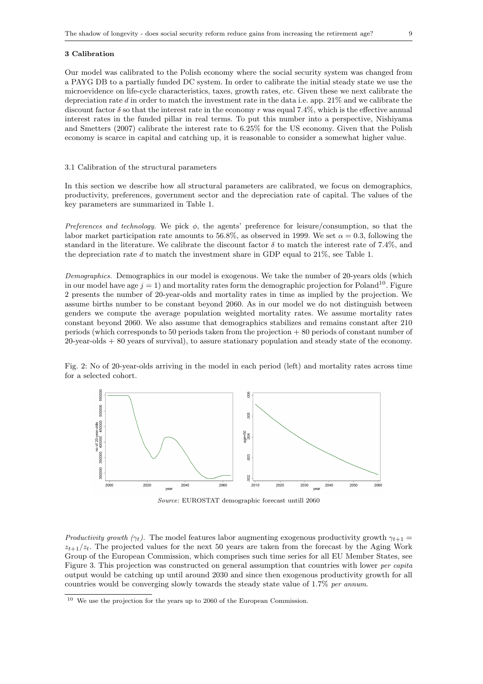## 3 Calibration

Our model was calibrated to the Polish economy where the social security system was changed from a PAYG DB to a partially funded DC system. In order to calibrate the initial steady state we use the microevidence on life-cycle characteristics, taxes, growth rates, etc. Given these we next calibrate the depreciation rate d in order to match the investment rate in the data i.e. app. 21% and we calibrate the discount factor  $\delta$  so that the interest rate in the economy r was equal 7.4%, which is the effective annual interest rates in the funded pillar in real terms. To put this number into a perspective, Nishiyama and Smetters (2007) calibrate the interest rate to 6.25% for the US economy. Given that the Polish economy is scarce in capital and catching up, it is reasonable to consider a somewhat higher value.

#### 3.1 Calibration of the structural parameters

In this section we describe how all structural parameters are calibrated, we focus on demographics, productivity, preferences, government sector and the depreciation rate of capital. The values of the key parameters are summarized in Table 1.

Preferences and technology. We pick  $\phi$ , the agents' preference for leisure/consumption, so that the labor market participation rate amounts to 56.8%, as observed in 1999. We set  $\alpha = 0.3$ , following the standard in the literature. We calibrate the discount factor  $\delta$  to match the interest rate of 7.4%, and the depreciation rate d to match the investment share in GDP equal to  $21\%$ , see Table 1.

Demographics. Demographics in our model is exogenous. We take the number of 20-years olds (which in our model have age  $j = 1$ ) and mortality rates form the demographic projection for Poland<sup>10</sup>. Figure 2 presents the number of 20-year-olds and mortality rates in time as implied by the projection. We assume births number to be constant beyond 2060. As in our model we do not distinguish between genders we compute the average population weighted mortality rates. We assume mortality rates constant beyond 2060. We also assume that demographics stabilizes and remains constant after 210 periods (which corresponds to 50 periods taken from the projection + 80 periods of constant number of 20-year-olds + 80 years of survival), to assure stationary population and steady state of the economy.

Fig. 2: No of 20-year-olds arriving in the model in each period (left) and mortality rates across time for a selected cohort.



Source: EUROSTAT demographic forecast untill 2060

Productivity growth ( $\gamma_t$ ). The model features labor augmenting exogenous productivity growth  $\gamma_{t+1} =$  $z_{t+1}/z_t$ . The projected values for the next 50 years are taken from the forecast by the Aging Work Group of the European Commission, which comprises such time series for all EU Member States, see Figure 3. This projection was constructed on general assumption that countries with lower *per capita* output would be catching up until around 2030 and since then exogenous productivity growth for all countries would be converging slowly towards the steady state value of 1.7% per annum.

 $^{10}\,$  We use the projection for the years up to 2060 of the European Commission.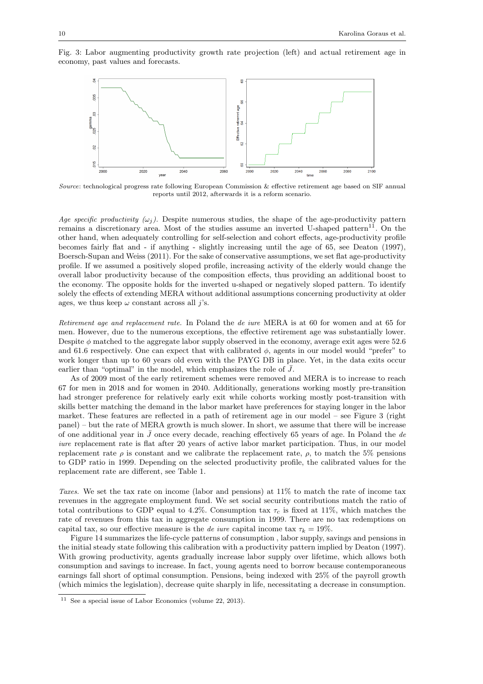



Source: technological progress rate following European Commission & effective retirement age based on SIF annual reports until 2012, afterwards it is a reform scenario.

Age specific productivity  $(\omega_i)$ . Despite numerous studies, the shape of the age-productivity pattern remains a discretionary area. Most of the studies assume an inverted U-shaped pattern<sup>11</sup>. On the other hand, when adequately controlling for self-selection and cohort effects, age-productivity profile becomes fairly flat and - if anything - slightly increasing until the age of 65, see Deaton (1997), Boersch-Supan and Weiss (2011). For the sake of conservative assumptions, we set flat age-productivity profile. If we assumed a positively sloped profile, increasing activity of the elderly would change the overall labor productivity because of the composition effects, thus providing an additional boost to the economy. The opposite holds for the inverted u-shaped or negatively sloped pattern. To identify solely the effects of extending MERA without additional assumptions concerning productivity at older ages, we thus keep  $\omega$  constant across all *j*'s.

Retirement age and replacement rate. In Poland the de iure MERA is at 60 for women and at 65 for men. However, due to the numerous exceptions, the effective retirement age was substantially lower. Despite  $\phi$  matched to the aggregate labor supply observed in the economy, average exit ages were 52.6 and 61.6 respectively. One can expect that with calibrated  $\phi$ , agents in our model would "prefer" to work longer than up to 60 years old even with the PAYG DB in place. Yet, in the data exits occur earlier than "optimal" in the model, which emphasizes the role of  $\bar{J}$ .

As of 2009 most of the early retirement schemes were removed and MERA is to increase to reach 67 for men in 2018 and for women in 2040. Additionally, generations working mostly pre-transition had stronger preference for relatively early exit while cohorts working mostly post-transition with skills better matching the demand in the labor market have preferences for staying longer in the labor market. These features are reflected in a path of retirement age in our model – see Figure 3 (right panel) – but the rate of MERA growth is much slower. In short, we assume that there will be increase of one additional year in  $\bar{J}$  once every decade, reaching effectively 65 years of age. In Poland the de iure replacement rate is flat after 20 years of active labor market participation. Thus, in our model replacement rate  $\rho$  is constant and we calibrate the replacement rate,  $\rho$ , to match the 5% pensions to GDP ratio in 1999. Depending on the selected productivity profile, the calibrated values for the replacement rate are different, see Table 1.

Taxes. We set the tax rate on income (labor and pensions) at 11% to match the rate of income tax revenues in the aggregate employment fund. We set social security contributions match the ratio of total contributions to GDP equal to 4.2%. Consumption tax  $\tau_c$  is fixed at 11%, which matches the rate of revenues from this tax in aggregate consumption in 1999. There are no tax redemptions on capital tax, so our effective measure is the *de iure* capital income tax  $\tau_k = 19\%$ .

Figure 14 summarizes the life-cycle patterns of consumption , labor supply, savings and pensions in the initial steady state following this calibration with a productivity pattern implied by Deaton (1997). With growing productivity, agents gradually increase labor supply over lifetime, which allows both consumption and savings to increase. In fact, young agents need to borrow because contemporaneous earnings fall short of optimal consumption. Pensions, being indexed with 25% of the payroll growth (which mimics the legislation), decrease quite sharply in life, necessitating a decrease in consumption.

<sup>11</sup> See a special issue of Labor Economics (volume 22, 2013).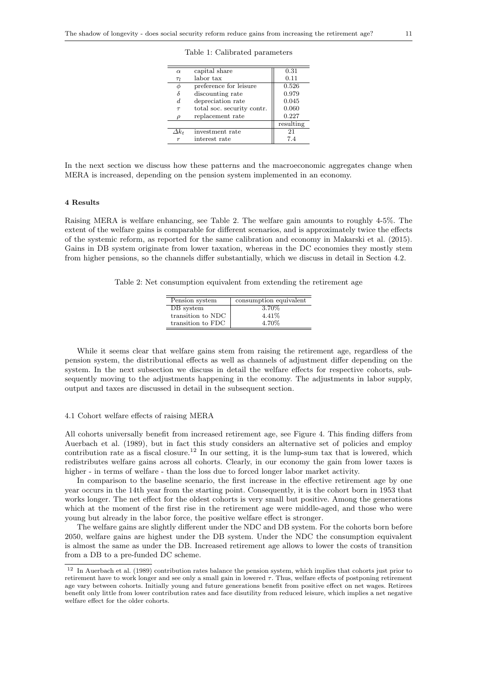|  |  |  | Table 1: Calibrated parameters |
|--|--|--|--------------------------------|
|--|--|--|--------------------------------|

| $\alpha$          | capital share              | 0.31      |
|-------------------|----------------------------|-----------|
| $\tau_l$          | labor tax                  | 0.11      |
|                   | preference for leisure     | 0.526     |
|                   | discounting rate           | 0.979     |
| d                 | depreciation rate          | 0.045     |
| $\tau$            | total soc. security contr. | 0.060     |
| $\Omega$          | replacement rate           | 0.227     |
|                   |                            | resulting |
| $\varDelta k_{t}$ | investment rate            | 21        |
| $\boldsymbol{r}$  | interest rate              | 7.4       |
|                   |                            |           |

In the next section we discuss how these patterns and the macroeconomic aggregates change when MERA is increased, depending on the pension system implemented in an economy.

## 4 Results

Raising MERA is welfare enhancing, see Table 2. The welfare gain amounts to roughly 4-5%. The extent of the welfare gains is comparable for different scenarios, and is approximately twice the effects of the systemic reform, as reported for the same calibration and economy in Makarski et al. (2015). Gains in DB system originate from lower taxation, whereas in the DC economies they mostly stem from higher pensions, so the channels differ substantially, which we discuss in detail in Section 4.2.

Table 2: Net consumption equivalent from extending the retirement age

| 3.70%<br>DB system<br>4.41\%<br>transition to NDC | consumption equivalent<br>Pension system |
|---------------------------------------------------|------------------------------------------|
|                                                   |                                          |
|                                                   |                                          |
| transition to FDC                                 | 4.70%                                    |

While it seems clear that welfare gains stem from raising the retirement age, regardless of the pension system, the distributional effects as well as channels of adjustment differ depending on the system. In the next subsection we discuss in detail the welfare effects for respective cohorts, subsequently moving to the adjustments happening in the economy. The adjustments in labor supply, output and taxes are discussed in detail in the subsequent section.

# 4.1 Cohort welfare effects of raising MERA

All cohorts universally benefit from increased retirement age, see Figure 4. This finding differs from Auerbach et al. (1989), but in fact this study considers an alternative set of policies and employ contribution rate as a fiscal closure.<sup>12</sup> In our setting, it is the lump-sum tax that is lowered, which redistributes welfare gains across all cohorts. Clearly, in our economy the gain from lower taxes is higher - in terms of welfare - than the loss due to forced longer labor market activity.

In comparison to the baseline scenario, the first increase in the effective retirement age by one year occurs in the 14th year from the starting point. Consequently, it is the cohort born in 1953 that works longer. The net effect for the oldest cohorts is very small but positive. Among the generations which at the moment of the first rise in the retirement age were middle-aged, and those who were young but already in the labor force, the positive welfare effect is stronger.

The welfare gains are slightly different under the NDC and DB system. For the cohorts born before 2050, welfare gains are highest under the DB system. Under the NDC the consumption equivalent is almost the same as under the DB. Increased retirement age allows to lower the costs of transition from a DB to a pre-funded DC scheme.

<sup>12</sup> In Auerbach et al. (1989) contribution rates balance the pension system, which implies that cohorts just prior to retirement have to work longer and see only a small gain in lowered τ. Thus, welfare effects of postponing retirement age vary between cohorts. Initially young and future generations benefit from positive effect on net wages. Retirees benefit only little from lower contribution rates and face disutility from reduced leisure, which implies a net negative welfare effect for the older cohorts.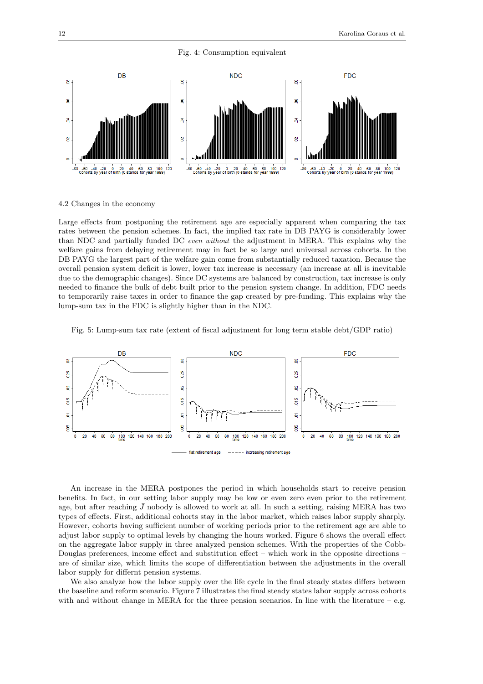



4.2 Changes in the economy

Large effects from postponing the retirement age are especially apparent when comparing the tax rates between the pension schemes. In fact, the implied tax rate in DB PAYG is considerably lower than NDC and partially funded DC even without the adjustment in MERA. This explains why the welfare gains from delaying retirement may in fact be so large and universal across cohorts. In the DB PAYG the largest part of the welfare gain come from substantially reduced taxation. Because the overall pension system deficit is lower, lower tax increase is necessary (an increase at all is inevitable due to the demographic changes). Since DC systems are balanced by construction, tax increase is only needed to finance the bulk of debt built prior to the pension system change. In addition, FDC needs to temporarily raise taxes in order to finance the gap created by pre-funding. This explains why the lump-sum tax in the FDC is slightly higher than in the NDC.

Fig. 5: Lump-sum tax rate (extent of fiscal adjustment for long term stable debt/GDP ratio)



An increase in the MERA postpones the period in which households start to receive pension benefits. In fact, in our setting labor supply may be low or even zero even prior to the retirement age, but after reaching  $\bar{J}$  nobody is allowed to work at all. In such a setting, raising MERA has two types of effects. First, additional cohorts stay in the labor market, which raises labor supply sharply. However, cohorts having sufficient number of working periods prior to the retirement age are able to adjust labor supply to optimal levels by changing the hours worked. Figure 6 shows the overall effect on the aggregate labor supply in three analyzed pension schemes. With the properties of the Cobb-Douglas preferences, income effect and substitution effect – which work in the opposite directions – are of similar size, which limits the scope of differentiation between the adjustments in the overall labor supply for differnt pension systems.

We also analyze how the labor supply over the life cycle in the final steady states differs between the baseline and reform scenario. Figure 7 illustrates the final steady states labor supply across cohorts with and without change in MERA for the three pension scenarios. In line with the literature – e.g.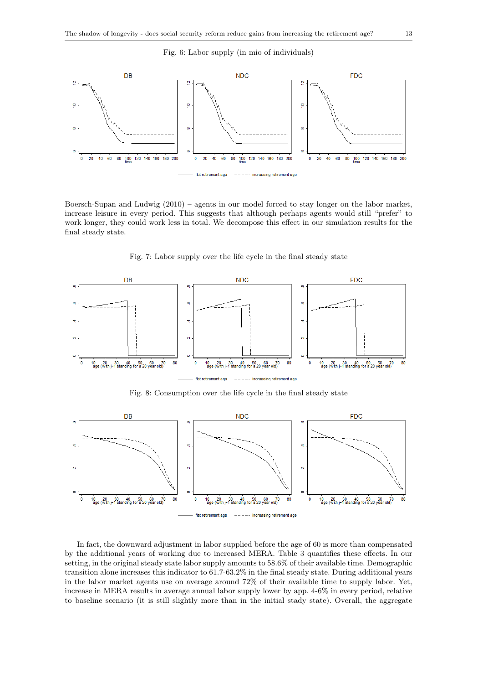## Fig. 6: Labor supply (in mio of individuals)



Boersch-Supan and Ludwig (2010) – agents in our model forced to stay longer on the labor market, increase leisure in every period. This suggests that although perhaps agents would still "prefer" to work longer, they could work less in total. We decompose this effect in our simulation results for the final steady state.



Fig. 7: Labor supply over the life cycle in the final steady state

Fig. 8: Consumption over the life cycle in the final steady state



In fact, the downward adjustment in labor supplied before the age of 60 is more than compensated by the additional years of working due to increased MERA. Table 3 quantifies these effects. In our setting, in the original steady state labor supply amounts to 58.6% of their available time. Demographic transition alone increases this indicator to 61.7-63.2% in the final steady state. During additional years in the labor market agents use on average around 72% of their available time to supply labor. Yet, increase in MERA results in average annual labor supply lower by app. 4-6% in every period, relative to baseline scenario (it is still slightly more than in the initial stady state). Overall, the aggregate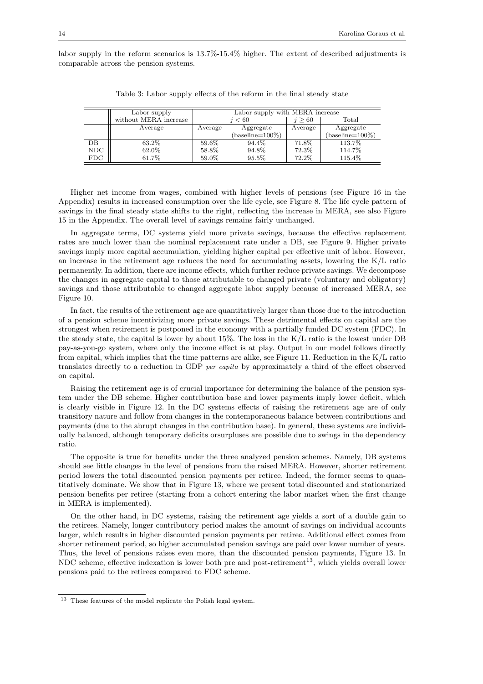labor supply in the reform scenarios is 13.7%-15.4% higher. The extent of described adjustments is comparable across the pension systems.

|             | Labor supply          | Labor supply with MERA increase |                    |         |                    |
|-------------|-----------------------|---------------------------------|--------------------|---------|--------------------|
|             | without MERA increase | i < 60                          |                    | >60     | Total              |
|             | Average               | Average                         | Aggregate          | Average | Aggregate          |
|             |                       |                                 | $(baseline=100\%)$ |         | $(baseline=100\%)$ |
| $_{\rm DB}$ | 63.2\%                | 59.6%                           | 94.4%              | 71.8%   | 113.7%             |
| <b>NDC</b>  | 62.0%                 | 58.8%                           | 94.8%              | 72.3%   | 114.7%             |
| FDC         | 61.7%                 | 59.0%                           | 95.5%              | 72.2%   | 115.4%             |

Table 3: Labor supply effects of the reform in the final steady state

Higher net income from wages, combined with higher levels of pensions (see Figure 16 in the Appendix) results in increased consumption over the life cycle, see Figure 8. The life cycle pattern of savings in the final steady state shifts to the right, reflecting the increase in MERA, see also Figure 15 in the Appendix. The overall level of savings remains fairly unchanged.

In aggregate terms, DC systems yield more private savings, because the effective replacement rates are much lower than the nominal replacement rate under a DB, see Figure 9. Higher private savings imply more capital accumulation, yielding higher capital per effective unit of labor. However, an increase in the retirement age reduces the need for accumulating assets, lowering the K/L ratio permanently. In addition, there are income effects, which further reduce private savings. We decompose the changes in aggregate capital to those attributable to changed private (voluntary and obligatory) savings and those attributable to changed aggregate labor supply because of increased MERA, see Figure 10.

In fact, the results of the retirement age are quantitatively larger than those due to the introduction of a pension scheme incentivizing more private savings. These detrimental effects on capital are the strongest when retirement is postponed in the economy with a partially funded DC system (FDC). In the steady state, the capital is lower by about 15%. The loss in the K/L ratio is the lowest under DB pay-as-you-go system, where only the income effect is at play. Output in our model follows directly from capital, which implies that the time patterns are alike, see Figure 11. Reduction in the K/L ratio translates directly to a reduction in GDP per capita by approximately a third of the effect observed on capital.

Raising the retirement age is of crucial importance for determining the balance of the pension system under the DB scheme. Higher contribution base and lower payments imply lower deficit, which is clearly visible in Figure 12. In the DC systems effects of raising the retirement age are of only transitory nature and follow from changes in the contemporaneous balance between contributions and payments (due to the abrupt changes in the contribution base). In general, these systems are individually balanced, although temporary deficits orsurpluses are possible due to swings in the dependency ratio.

The opposite is true for benefits under the three analyzed pension schemes. Namely, DB systems should see little changes in the level of pensions from the raised MERA. However, shorter retirement period lowers the total discounted pension payments per retiree. Indeed, the former seems to quantitatively dominate. We show that in Figure 13, where we present total discounted and stationarized pension benefits per retiree (starting from a cohort entering the labor market when the first change in MERA is implemented).

On the other hand, in DC systems, raising the retirement age yields a sort of a double gain to the retirees. Namely, longer contributory period makes the amount of savings on individual accounts larger, which results in higher discounted pension payments per retiree. Additional effect comes from shorter retirement period, so higher accumulated pension savings are paid over lower number of years. Thus, the level of pensions raises even more, than the discounted pension payments, Figure 13. In NDC scheme, effective indexation is lower both pre and post-retirement<sup>13</sup>, which yields overall lower pensions paid to the retirees compared to FDC scheme.

<sup>13</sup> These features of the model replicate the Polish legal system.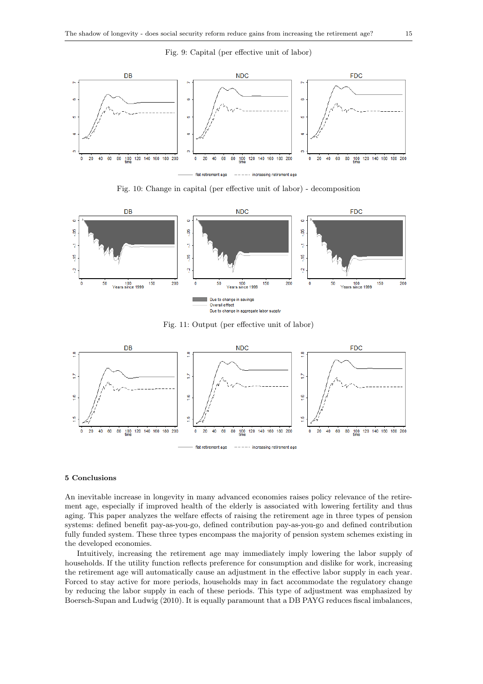## Fig. 9: Capital (per effective unit of labor)



Fig. 10: Change in capital (per effective unit of labor) - decomposition



Fig. 11: Output (per effective unit of labor)



# 5 Conclusions

An inevitable increase in longevity in many advanced economies raises policy relevance of the retirement age, especially if improved health of the elderly is associated with lowering fertility and thus aging. This paper analyzes the welfare effects of raising the retirement age in three types of pension systems: defined benefit pay-as-you-go, defined contribution pay-as-you-go and defined contribution fully funded system. These three types encompass the majority of pension system schemes existing in the developed economies.

Intuitively, increasing the retirement age may immediately imply lowering the labor supply of households. If the utility function reflects preference for consumption and dislike for work, increasing the retirement age will automatically cause an adjustment in the effective labor supply in each year. Forced to stay active for more periods, households may in fact accommodate the regulatory change by reducing the labor supply in each of these periods. This type of adjustment was emphasized by Boersch-Supan and Ludwig (2010). It is equally paramount that a DB PAYG reduces fiscal imbalances,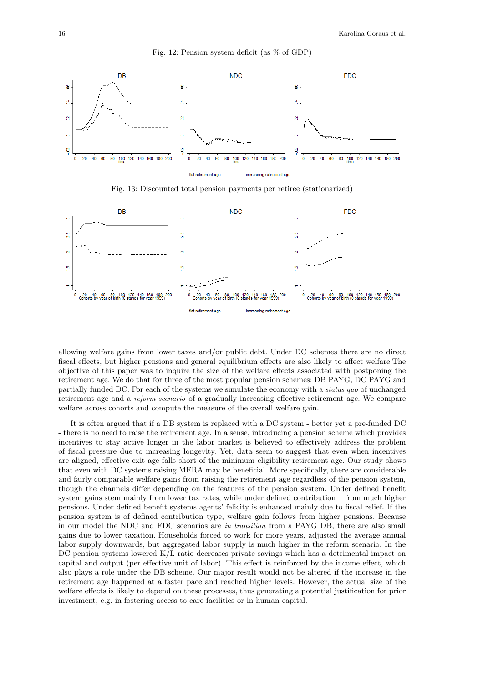

Fig. 12: Pension system deficit (as % of GDP)

Fig. 13: Discounted total pension payments per retiree (stationarized)



allowing welfare gains from lower taxes and/or public debt. Under DC schemes there are no direct fiscal effects, but higher pensions and general equilibrium effects are also likely to affect welfare.The objective of this paper was to inquire the size of the welfare effects associated with postponing the retirement age. We do that for three of the most popular pension schemes: DB PAYG, DC PAYG and partially funded DC. For each of the systems we simulate the economy with a status quo of unchanged retirement age and a reform scenario of a gradually increasing effective retirement age. We compare welfare across cohorts and compute the measure of the overall welfare gain.

It is often argued that if a DB system is replaced with a DC system - better yet a pre-funded DC - there is no need to raise the retirement age. In a sense, introducing a pension scheme which provides incentives to stay active longer in the labor market is believed to effectively address the problem of fiscal pressure due to increasing longevity. Yet, data seem to suggest that even when incentives are aligned, effective exit age falls short of the minimum eligibility retirement age. Our study shows that even with DC systems raising MERA may be beneficial. More specifically, there are considerable and fairly comparable welfare gains from raising the retirement age regardless of the pension system, though the channels differ depending on the features of the pension system. Under defined benefit system gains stem mainly from lower tax rates, while under defined contribution – from much higher pensions. Under defined benefit systems agents' felicity is enhanced mainly due to fiscal relief. If the pension system is of defined contribution type, welfare gain follows from higher pensions. Because in our model the NDC and FDC scenarios are in transition from a PAYG DB, there are also small gains due to lower taxation. Households forced to work for more years, adjusted the average annual labor supply downwards, but aggregated labor supply is much higher in the reform scenario. In the DC pension systems lowered K/L ratio decreases private savings which has a detrimental impact on capital and output (per effective unit of labor). This effect is reinforced by the income effect, which also plays a role under the DB scheme. Our major result would not be altered if the increase in the retirement age happened at a faster pace and reached higher levels. However, the actual size of the welfare effects is likely to depend on these processes, thus generating a potential justification for prior investment, e.g. in fostering access to care facilities or in human capital.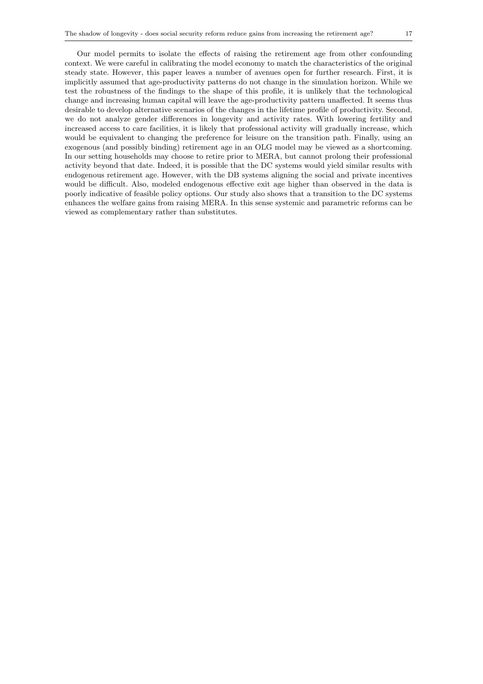Our model permits to isolate the effects of raising the retirement age from other confounding context. We were careful in calibrating the model economy to match the characteristics of the original steady state. However, this paper leaves a number of avenues open for further research. First, it is implicitly assumed that age-productivity patterns do not change in the simulation horizon. While we test the robustness of the findings to the shape of this profile, it is unlikely that the technological change and increasing human capital will leave the age-productivity pattern unaffected. It seems thus desirable to develop alternative scenarios of the changes in the lifetime profile of productivity. Second, we do not analyze gender differences in longevity and activity rates. With lowering fertility and increased access to care facilities, it is likely that professional activity will gradually increase, which would be equivalent to changing the preference for leisure on the transition path. Finally, using an exogenous (and possibly binding) retirement age in an OLG model may be viewed as a shortcoming. In our setting households may choose to retire prior to MERA, but cannot prolong their professional activity beyond that date. Indeed, it is possible that the DC systems would yield similar results with endogenous retirement age. However, with the DB systems aligning the social and private incentives would be difficult. Also, modeled endogenous effective exit age higher than observed in the data is poorly indicative of feasible policy options. Our study also shows that a transition to the DC systems enhances the welfare gains from raising MERA. In this sense systemic and parametric reforms can be viewed as complementary rather than substitutes.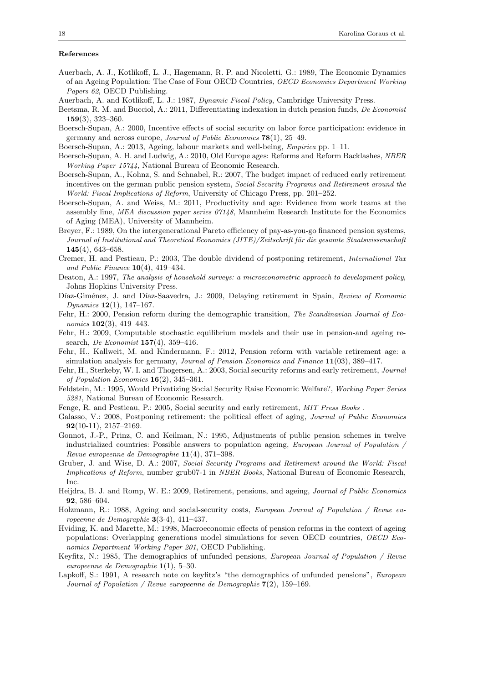## References

- Auerbach, A. J., Kotlikoff, L. J., Hagemann, R. P. and Nicoletti, G.: 1989, The Economic Dynamics of an Ageing Population: The Case of Four OECD Countries, OECD Economics Department Working Papers 62, OECD Publishing.
- Auerbach, A. and Kotlikoff, L. J.: 1987, Dynamic Fiscal Policy, Cambridge University Press.
- Beetsma, R. M. and Bucciol, A.: 2011, Differentiating indexation in dutch pension funds, De Economist 159(3), 323–360.
- Boersch-Supan, A.: 2000, Incentive effects of social security on labor force participation: evidence in germany and across europe, *Journal of Public Economics*  $78(1)$ , 25–49.
- Boersch-Supan, A.: 2013, Ageing, labour markets and well-being, Empirica pp. 1–11.
- Boersch-Supan, A. H. and Ludwig, A.: 2010, Old Europe ages: Reforms and Reform Backlashes, NBER Working Paper 15744, National Bureau of Economic Research.
- Boersch-Supan, A., Kohnz, S. and Schnabel, R.: 2007, The budget impact of reduced early retirement incentives on the german public pension system, *Social Security Programs and Retirement around the* World: Fiscal Implications of Reform, University of Chicago Press, pp. 201–252.
- Boersch-Supan, A. and Weiss, M.: 2011, Productivity and age: Evidence from work teams at the assembly line, MEA discussion paper series 07148, Mannheim Research Institute for the Economics of Aging (MEA), University of Mannheim.
- Breyer, F.: 1989, On the intergenerational Pareto efficiency of pay-as-you-go financed pension systems, Journal of Institutional and Theoretical Economics (JITE)/Zeitschrift für die gesamte Staatswissenschaft 145(4), 643–658.
- Cremer, H. and Pestieau, P.: 2003, The double dividend of postponing retirement, International Tax and Public Finance  $10(4)$ , 419–434.
- Deaton, A.: 1997, The analysis of household surveys: a microeconometric approach to development policy, Johns Hopkins University Press.
- Díaz-Giménez, J. and Díaz-Saavedra, J.: 2009, Delaying retirement in Spain, Review of Economic Dynamics  $12(1)$ ,  $147-167$ .
- Fehr, H.: 2000, Pension reform during the demographic transition, The Scandinavian Journal of Economics **102**(3), 419-443.
- Fehr, H.: 2009, Computable stochastic equilibrium models and their use in pension-and ageing research, *De Economist* **157**(4), 359-416.
- Fehr, H., Kallweit, M. and Kindermann, F.: 2012, Pension reform with variable retirement age: a simulation analysis for germany, Journal of Pension Economics and Finance 11(03), 389–417.
- Fehr, H., Sterkeby, W. I. and Thogersen, A.: 2003, Social security reforms and early retirement, Journal of Population Economics 16(2), 345–361.
- Feldstein, M.: 1995, Would Privatizing Social Security Raise Economic Welfare?, Working Paper Series 5281, National Bureau of Economic Research.
- Fenge, R. and Pestieau, P.: 2005, Social security and early retirement, MIT Press Books .
- Galasso, V.: 2008, Postponing retirement: the political effect of aging, *Journal of Public Economics* 92(10-11), 2157–2169.
- Gonnot, J.-P., Prinz, C. and Keilman, N.: 1995, Adjustments of public pension schemes in twelve industrialized countries: Possible answers to population ageing, European Journal of Population  $\sqrt{ }$ Revue europeenne de Demographie 11(4), 371–398.
- Gruber, J. and Wise, D. A.: 2007, Social Security Programs and Retirement around the World: Fiscal Implications of Reform, number grub07-1 in NBER Books, National Bureau of Economic Research, Inc.
- Heijdra, B. J. and Romp, W. E.: 2009, Retirement, pensions, and ageing, Journal of Public Economics 92, 586–604.
- Holzmann, R.: 1988, Ageing and social-security costs, European Journal of Population / Revue europeenne de Demographie 3(3-4), 411–437.
- Hviding, K. and Marette, M.: 1998, Macroeconomic effects of pension reforms in the context of ageing populations: Overlapping generations model simulations for seven OECD countries, OECD Economics Department Working Paper 201, OECD Publishing.
- Keyfitz, N.: 1985, The demographics of unfunded pensions, European Journal of Population / Revue europeenne de Demographie 1(1), 5–30.
- Lapkoff, S.: 1991, A research note on keyfitz's "the demographics of unfunded pensions", European Journal of Population / Revue europeenne de Demographie  $7(2)$ , 159–169.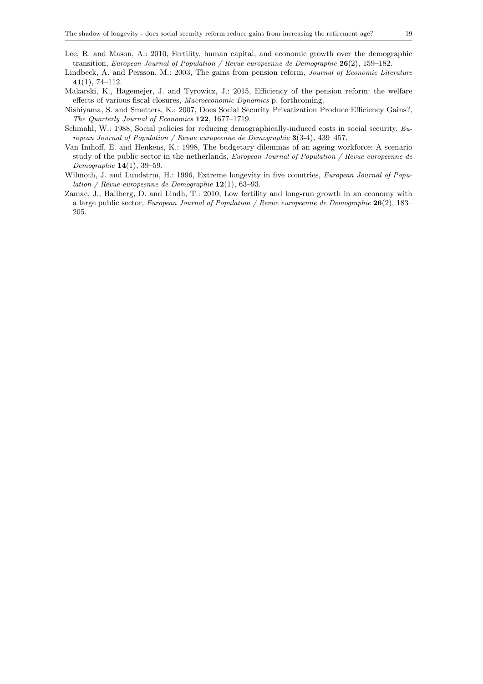- Lee, R. and Mason, A.: 2010, Fertility, human capital, and economic growth over the demographic transition, European Journal of Population / Revue europeenne de Demographie  $26(2)$ , 159–182.
- Lindbeck, A. and Persson, M.: 2003, The gains from pension reform, Journal of Economic Literature 41(1), 74–112.
- Makarski, K., Hagemejer, J. and Tyrowicz, J.: 2015, Efficiency of the pension reform: the welfare effects of various fiscal closures, Macroeconomic Dynamics p. forthcoming.
- Nishiyama, S. and Smetters, K.: 2007, Does Social Security Privatization Produce Efficiency Gains?, The Quarterly Journal of Economics 122, 1677–1719.
- Schmahl, W.: 1988, Social policies for reducing demographically-induced costs in social security, European Journal of Population / Revue europeenne de Demographie  $3(3-4)$ , 439–457.
- Van Imhoff, E. and Henkens, K.: 1998, The budgetary dilemmas of an ageing workforce: A scenario study of the public sector in the netherlands, European Journal of Population / Revue europeenne de Demographie  $14(1)$ , 39-59.
- Wilmoth, J. and Lundstrm, H.: 1996, Extreme longevity in five countries, *European Journal of Popu*lation / Revue europeenne de Demographie  $12(1)$ , 63–93.
- Zamac, J., Hallberg, D. and Lindh, T.: 2010, Low fertility and long-run growth in an economy with a large public sector, European Journal of Population / Revue europeenne de Demographie 26(2), 183– 205.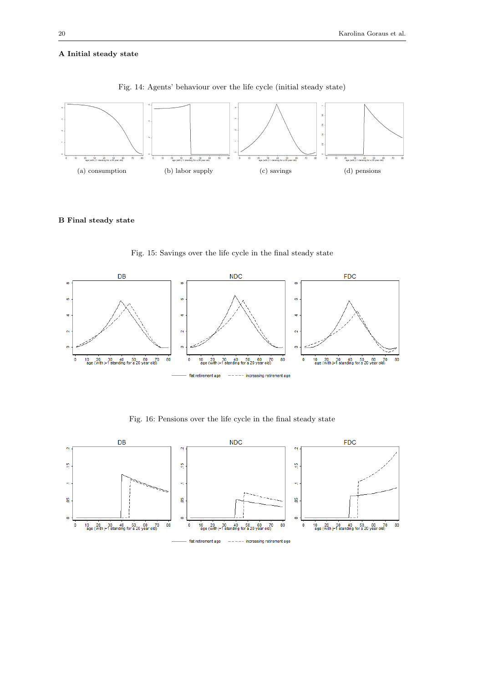# A Initial steady state



Fig. 14: Agents' behaviour over the life cycle (initial steady state)

# B Final steady state



Fig. 15: Savings over the life cycle in the final steady state

Fig. 16: Pensions over the life cycle in the final steady state

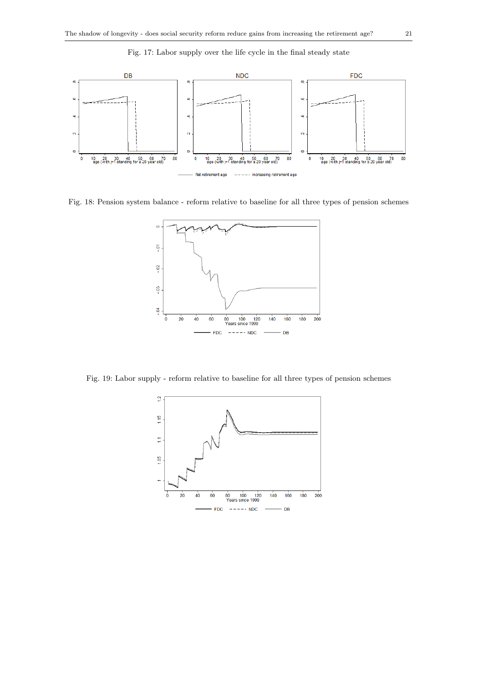

Fig. 17: Labor supply over the life cycle in the final steady state

Fig. 18: Pension system balance - reform relative to baseline for all three types of pension schemes



Fig. 19: Labor supply - reform relative to baseline for all three types of pension schemes

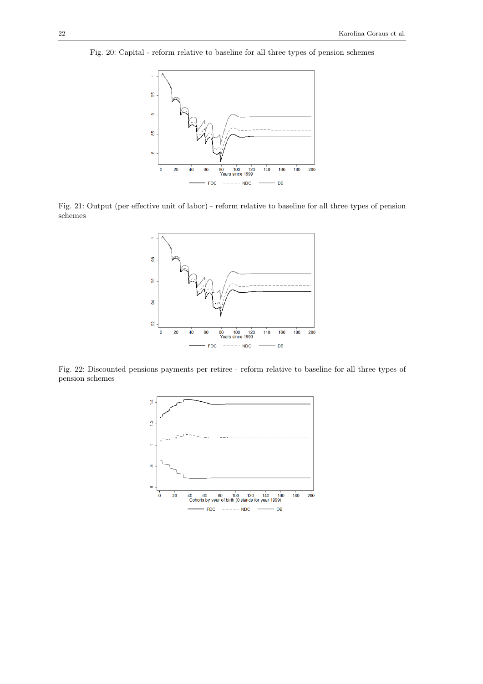Fig. 20: Capital - reform relative to baseline for all three types of pension schemes



Fig. 21: Output (per effective unit of labor) - reform relative to baseline for all three types of pension schemes



Fig. 22: Discounted pensions payments per retiree - reform relative to baseline for all three types of pension schemes